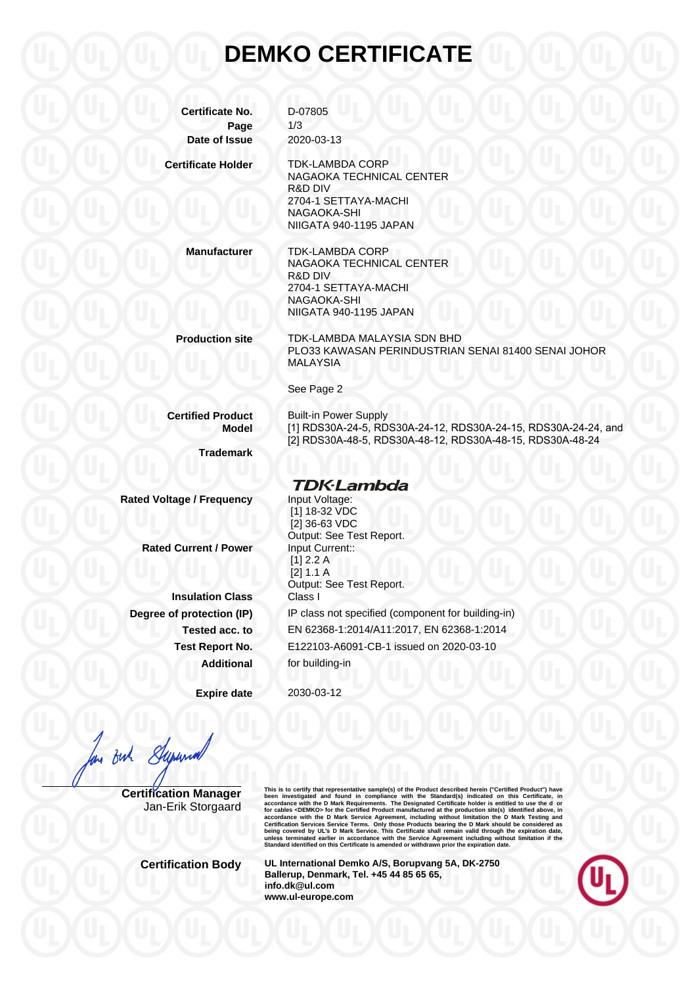## **DEMKO CERTIFICATE**

| <b>Certificate No.</b>            | D-07805                                                                                                                                                     |
|-----------------------------------|-------------------------------------------------------------------------------------------------------------------------------------------------------------|
| Page<br>Date of Issue             | 1/3<br>2020-03-13                                                                                                                                           |
|                                   |                                                                                                                                                             |
| <b>Certificate Holder</b>         | <b>TDK-LAMBDA CORP</b><br>NAGAOKA TECHNICAL CENTER<br><b>R&amp;D DIV</b>                                                                                    |
|                                   | 2704-1 SETTAYA-MACHI<br>NAGAOKA-SHI<br>NIIGATA 940-1195 JAPAN                                                                                               |
| <b>Manufacturer</b>               | TDK-LAMBDA CORP<br>NAGAOKA TECHNICAL CENTER<br>R&D DIV                                                                                                      |
|                                   | 2704-1 SETTAYA-MACHI                                                                                                                                        |
|                                   | NAGAOKA-SHI<br>NIIGATA 940-1195 JAPAN                                                                                                                       |
| <b>Production site</b>            | TDK-LAMBDA MALAYSIA SDN BHD<br>PLO33 KAWASAN PERINDUSTRIAN SENAI 81400 SENAI JOHOR<br><b>MALAYSIA</b>                                                       |
|                                   | See Page 2                                                                                                                                                  |
| <b>Certified Product</b><br>Model | <b>Built-in Power Supply</b><br>[1] RDS30A-24-5, RDS30A-24-12, RDS30A-24-15, RDS30A-24-24, and<br>[2] RDS30A-48-5, RDS30A-48-12, RDS30A-48-15, RDS30A-48-24 |
| <b>Trademark</b>                  |                                                                                                                                                             |
|                                   | <b>TDK</b> ·Lambda                                                                                                                                          |
| <b>Rated Voltage / Frequency</b>  | Input Voltage:<br>[1] 18-32 VDC<br>[2] 36-63 VDC<br>Output: See Test Report.                                                                                |
| <b>Rated Current / Power</b>      | Input Current::<br>$[1]$ 2.2 A<br>[2] 1.1 A<br>Output: See Test Report.                                                                                     |
| <b>Insulation Class</b>           | Class I                                                                                                                                                     |
| Degree of protection (IP)         | IP class not specified (component for building-in)                                                                                                          |
| Tested acc. to                    | EN 62368-1:2014/A11:2017, EN 62368-1:2014                                                                                                                   |
| <b>Test Report No.</b>            | E122103-A6091-CB-1 issued on 2020-03-10                                                                                                                     |
| <b>Additional</b>                 | for building-in                                                                                                                                             |

**Expire date** 2030-03-12

But Superna

**Certification Manager** Jan-Erik Storgaard This is to certify that representative sample(s) of the Product described herein ("Certifical Product") have<br>been investigated and found in compliance with the Standard(s) indicated on this Certificate, in<br>accordance with

**Certification Body UL International Demko A/S, Borupvang 5A, DK-2750 Ballerup, Denmark, Tel. +45 44 85 65 65, info.dk@ul.com www.ul-europe.com**

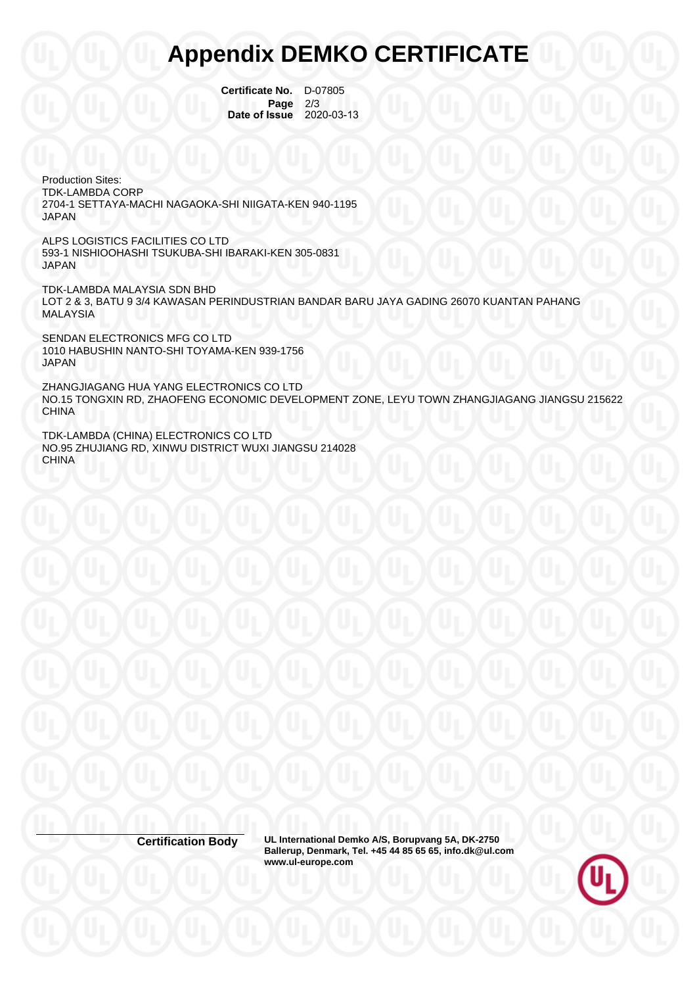## **Appendix DEMKO CERTIFICATE**

**Certificate No.** D-07805 **Page** 2/3<br>**Issue** 2020-03-13 **Date of Issue** 

Production Sites: TDK-LAMBDA CORP 2704-1 SETTAYA-MACHI NAGAOKA-SHI NIIGATA-KEN 940-1195 JAPAN

ALPS LOGISTICS FACILITIES CO LTD 593-1 NISHIOOHASHI TSUKUBA-SHI IBARAKI-KEN 305-0831 JAPAN

TDK-LAMBDA MALAYSIA SDN BHD LOT 2 & 3, BATU 9 3/4 KAWASAN PERINDUSTRIAN BANDAR BARU JAYA GADING 26070 KUANTAN PAHANG **MALAYSIA** 

SENDAN ELECTRONICS MFG CO LTD 1010 HABUSHIN NANTO-SHI TOYAMA-KEN 939-1756 JAPAN

ZHANGJIAGANG HUA YANG ELECTRONICS CO LTD NO.15 TONGXIN RD, ZHAOFENG ECONOMIC DEVELOPMENT ZONE, LEYU TOWN ZHANGJIAGANG JIANGSU 215622 CHINA

TDK-LAMBDA (CHINA) ELECTRONICS CO LTD NO.95 ZHUJIANG RD, XINWU DISTRICT WUXI JIANGSU 214028 **CHINA** 

**Certification Body UL International Demko A/S, Borupvang 5A, DK-2750 Ballerup, Denmark, Tel. +45 44 85 65 65, info.dk@ul.com www.ul-europe.com**